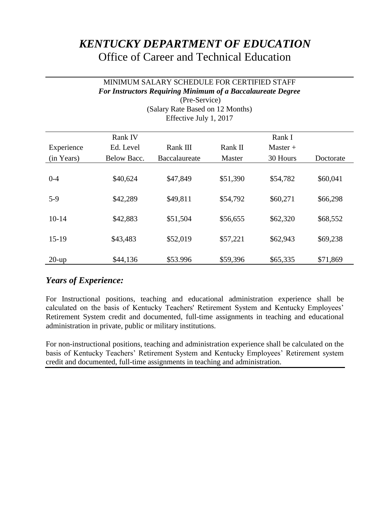# *KENTUCKY DEPARTMENT OF EDUCATION* Office of Career and Technical Education

### MINIMUM SALARY SCHEDULE FOR CERTIFIED STAFF *For Instructors Requiring Minimum of a Baccalaureate Degree*

| Lillwiv $J^2$ and $J^2$ and $J^2$ |                    |               |          |            |           |
|-----------------------------------|--------------------|---------------|----------|------------|-----------|
|                                   | Rank IV            |               |          | Rank I     |           |
| Experience                        | Ed. Level          | Rank III      | Rank II  | $Master +$ |           |
| (in Years)                        | <b>Below Bacc.</b> | Baccalaureate | Master   | 30 Hours   | Doctorate |
| $0 - 4$                           | \$40,624           | \$47,849      | \$51,390 | \$54,782   | \$60,041  |
| $5-9$                             | \$42,289           | \$49,811      | \$54,792 | \$60,271   | \$66,298  |
| $10-14$                           | \$42,883           | \$51,504      | \$56,655 | \$62,320   | \$68,552  |
| $15-19$                           | \$43,483           | \$52,019      | \$57,221 | \$62,943   | \$69,238  |
| $20$ -up                          | \$44,136           | \$53.996      | \$59,396 | \$65,335   | \$71,869  |

(Pre-Service) (Salary Rate Based on 12 Months) Effective July 1, 2017

# *Years of Experience:*

For Instructional positions, teaching and educational administration experience shall be calculated on the basis of Kentucky Teachers' Retirement System and Kentucky Employees' Retirement System credit and documented, full-time assignments in teaching and educational administration in private, public or military institutions.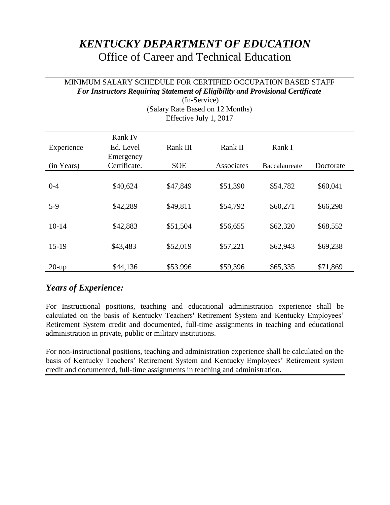# *KENTUCKY DEPARTMENT OF EDUCATION*  Office of Career and Technical Education

### MINIMUM SALARY SCHEDULE FOR CERTIFIED OCCUPATION BASED STAFF *For Instructors Requiring Statement of Eligibility and Provisional Certificate*

| (Salary Rate Based on 12 Months)<br>Effective July 1, 2017 |                        |            |            |               |           |
|------------------------------------------------------------|------------------------|------------|------------|---------------|-----------|
|                                                            | Rank IV                |            |            |               |           |
| Experience                                                 | Ed. Level<br>Emergency | Rank III   | Rank II    | Rank I        |           |
| (in Years)                                                 | Certificate.           | <b>SOE</b> | Associates | Baccalaureate | Doctorate |
| $0 - 4$                                                    | \$40,624               | \$47,849   | \$51,390   | \$54,782      | \$60,041  |
| $5-9$                                                      | \$42,289               | \$49,811   | \$54,792   | \$60,271      | \$66,298  |
| $10-14$                                                    | \$42,883               | \$51,504   | \$56,655   | \$62,320      | \$68,552  |
| $15-19$                                                    | \$43,483               | \$52,019   | \$57,221   | \$62,943      | \$69,238  |
| $20$ -up                                                   | \$44,136               | \$53.996   | \$59,396   | \$65,335      | \$71,869  |

(In-Service) (Salary Rate Based on 12 Months)

# *Years of Experience:*

For Instructional positions, teaching and educational administration experience shall be calculated on the basis of Kentucky Teachers' Retirement System and Kentucky Employees' Retirement System credit and documented, full-time assignments in teaching and educational administration in private, public or military institutions.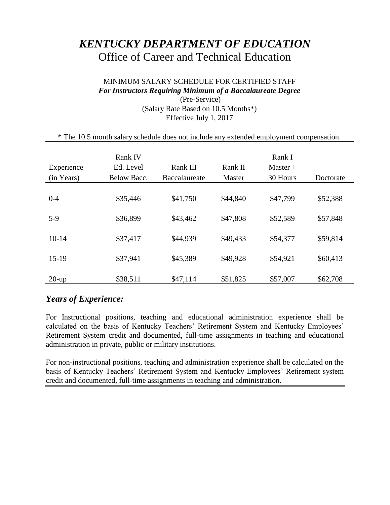# *KENTUCKY DEPARTMENT OF EDUCATION*  Office of Career and Technical Education

## MINIMUM SALARY SCHEDULE FOR CERTIFIED STAFF *For Instructors Requiring Minimum of a Baccalaureate Degree*

| (Pre-Service)                                                                           |
|-----------------------------------------------------------------------------------------|
| (Salary Rate Based on 10.5 Months*)                                                     |
| Effective July 1, 2017                                                                  |
|                                                                                         |
| * The 10.5 month salary schedule does not include any extended employment compensation. |

| Experience<br>(in Years) | <b>Rank IV</b><br>Ed. Level<br>Below Bacc. | Rank III<br>Baccalaureate | Rank II<br>Master | Rank I<br>$Master +$<br>30 Hours | Doctorate |
|--------------------------|--------------------------------------------|---------------------------|-------------------|----------------------------------|-----------|
| $0 - 4$                  | \$35,446                                   | \$41,750                  | \$44,840          | \$47,799                         | \$52,388  |
| $5-9$                    | \$36,899                                   | \$43,462                  | \$47,808          | \$52,589                         | \$57,848  |
| $10-14$                  | \$37,417                                   | \$44,939                  | \$49,433          | \$54,377                         | \$59,814  |
| $15-19$                  | \$37,941                                   | \$45,389                  | \$49,928          | \$54,921                         | \$60,413  |
| $20$ -up                 | \$38,511                                   | \$47,114                  | \$51,825          | \$57,007                         | \$62,708  |

# *Years of Experience:*

For Instructional positions, teaching and educational administration experience shall be calculated on the basis of Kentucky Teachers' Retirement System and Kentucky Employees' Retirement System credit and documented, full-time assignments in teaching and educational administration in private, public or military institutions.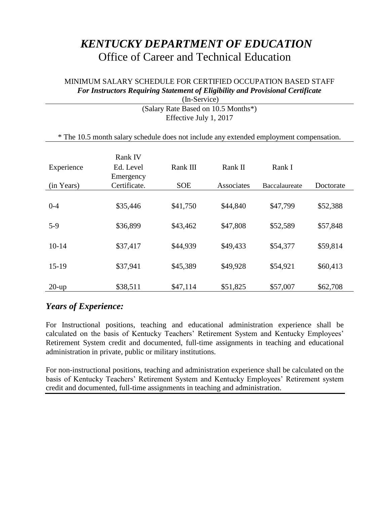# *KENTUCKY DEPARTMENT OF EDUCATION*  Office of Career and Technical Education

## MINIMUM SALARY SCHEDULE FOR CERTIFIED OCCUPATION BASED STAFF *For Instructors Requiring Statement of Eligibility and Provisional Certificate*

| (In-Service)                                                                            |              |                        |            |               |           |
|-----------------------------------------------------------------------------------------|--------------|------------------------|------------|---------------|-----------|
| (Salary Rate Based on 10.5 Months*)                                                     |              |                        |            |               |           |
|                                                                                         |              | Effective July 1, 2017 |            |               |           |
| * The 10.5 month salary schedule does not include any extended employment compensation. |              |                        |            |               |           |
|                                                                                         | Rank IV      |                        |            |               |           |
| Experience                                                                              | Ed. Level    | Rank III               | Rank II    | Rank I        |           |
|                                                                                         | Emergency    |                        |            |               |           |
| (in Years)                                                                              | Certificate. | <b>SOE</b>             | Associates | Baccalaureate | Doctorate |
| $0 - 4$                                                                                 | \$35,446     | \$41,750               | \$44,840   | \$47,799      | \$52,388  |
| $5-9$                                                                                   | \$36,899     | \$43,462               | \$47,808   | \$52,589      | \$57,848  |
| $10-14$                                                                                 | \$37,417     | \$44,939               | \$49,433   | \$54,377      | \$59,814  |
| $15-19$                                                                                 | \$37,941     | \$45,389               | \$49,928   | \$54,921      | \$60,413  |
| $20$ -up                                                                                | \$38,511     | \$47,114               | \$51,825   | \$57,007      | \$62,708  |

## *Years of Experience:*

For Instructional positions, teaching and educational administration experience shall be calculated on the basis of Kentucky Teachers' Retirement System and Kentucky Employees' Retirement System credit and documented, full-time assignments in teaching and educational administration in private, public or military institutions.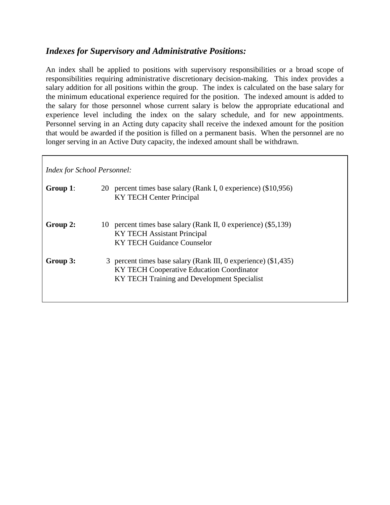### *Indexes for Supervisory and Administrative Positions:*

An index shall be applied to positions with supervisory responsibilities or a broad scope of responsibilities requiring administrative discretionary decision-making. This index provides a salary addition for all positions within the group. The index is calculated on the base salary for the minimum educational experience required for the position. The indexed amount is added to the salary for those personnel whose current salary is below the appropriate educational and experience level including the index on the salary schedule, and for new appointments. Personnel serving in an Acting duty capacity shall receive the indexed amount for the position that would be awarded if the position is filled on a permanent basis. When the personnel are no longer serving in an Active Duty capacity, the indexed amount shall be withdrawn.

*Index for School Personnel:*

| Group 1: | 20 percent times base salary (Rank I, 0 experience) (\$10,956)<br><b>KY TECH Center Principal</b>                                                          |
|----------|------------------------------------------------------------------------------------------------------------------------------------------------------------|
| Group 2: | 10 percent times base salary (Rank II, 0 experience) (\$5,139)<br>KY TECH Assistant Principal<br>KY TECH Guidance Counselor                                |
| Group 3: | 3 percent times base salary (Rank III, 0 experience) (\$1,435)<br>KY TECH Cooperative Education Coordinator<br>KY TECH Training and Development Specialist |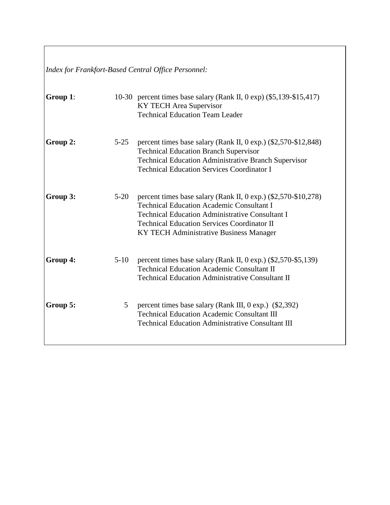*Index for Frankfort-Based Central Office Personnel:*

| Group 1: |                | 10-30 percent times base salary (Rank II, $0 \exp(10.5, 139 - 15, 417)$ )<br>KY TECH Area Supervisor<br><b>Technical Education Team Leader</b>                                                                                                                                   |
|----------|----------------|----------------------------------------------------------------------------------------------------------------------------------------------------------------------------------------------------------------------------------------------------------------------------------|
| Group 2: | $5 - 25$       | percent times base salary (Rank II, $0 \exp$ ) (\$2,570-\$12,848)<br><b>Technical Education Branch Supervisor</b><br><b>Technical Education Administrative Branch Supervisor</b><br><b>Technical Education Services Coordinator I</b>                                            |
| Group 3: | $5-20$         | percent times base salary (Rank II, $0 \exp$ ) (\$2,570-\$10,278)<br><b>Technical Education Academic Consultant I</b><br><b>Technical Education Administrative Consultant I</b><br><b>Technical Education Services Coordinator II</b><br>KY TECH Administrative Business Manager |
| Group 4: | $5-10$         | percent times base salary (Rank II, $0 \exp$ .) (\$2,570-\$5,139)<br><b>Technical Education Academic Consultant II</b><br><b>Technical Education Administrative Consultant II</b>                                                                                                |
| Group 5: | 5 <sup>5</sup> | percent times base salary (Rank III, $0 \exp$ .) (\$2,392)<br><b>Technical Education Academic Consultant III</b><br><b>Technical Education Administrative Consultant III</b>                                                                                                     |